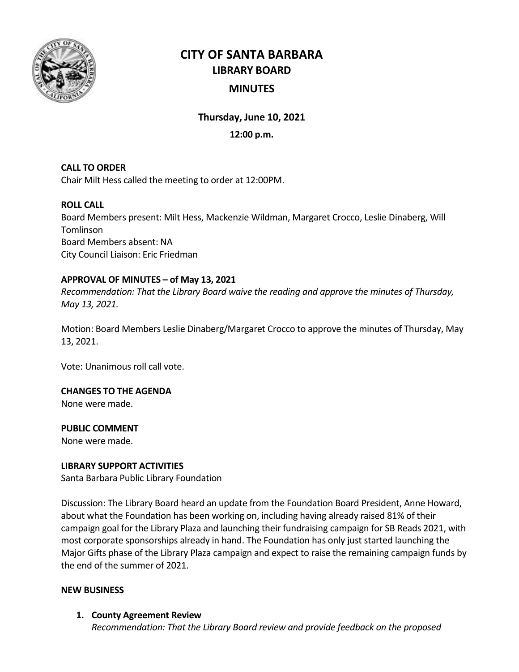

# **CITY OF SANTA BARBARA LIBRARY BOARD MINUTES**

**Thursday, June 10, 2021**

## **12:00 p.m.**

## **CALL TO ORDER**

Chair Milt Hess called the meeting to order at 12:00PM.

## **ROLL CALL**

Board Members present: Milt Hess, Mackenzie Wildman, Margaret Crocco, Leslie Dinaberg, Will Tomlinson Board Members absent: NA City Council Liaison: Eric Friedman

## **APPROVAL OF MINUTES – of May 13, 2021**

*Recommendation: That the Library Board waive the reading and approve the minutes of Thursday, May 13, 2021.*

Motion: Board Members Leslie Dinaberg/Margaret Crocco to approve the minutes of Thursday, May 13, 2021.

Vote: Unanimous roll call vote.

#### **CHANGES TO THE AGENDA**

None were made.

#### **PUBLIC COMMENT**

None were made.

#### **LIBRARY SUPPORT ACTIVITIES**

Santa Barbara Public Library Foundation

Discussion: The Library Board heard an update from the Foundation Board President, Anne Howard, about what the Foundation has been working on, including having already raised 81% of their campaign goal for the Library Plaza and launching their fundraising campaign for SB Reads 2021, with most corporate sponsorships already in hand. The Foundation has only just started launching the Major Gifts phase of the Library Plaza campaign and expect to raise the remaining campaign funds by the end of the summer of 2021.

#### **NEW BUSINESS**

**1. County Agreement Review** *Recommendation: That the Library Board review and provide feedback on the proposed*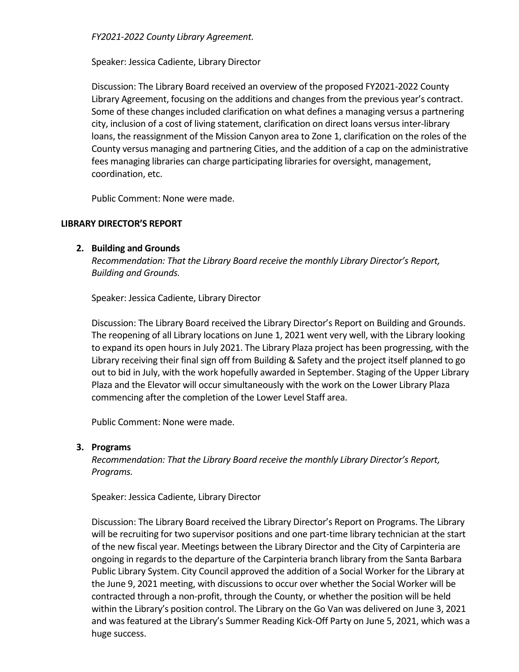*FY2021-2022 County Library Agreement.* 

Speaker: Jessica Cadiente, Library Director

Discussion: The Library Board received an overview of the proposed FY2021-2022 County Library Agreement, focusing on the additions and changes from the previous year's contract. Some of these changes included clarification on what defines a managing versus a partnering city, inclusion of a cost of living statement, clarification on direct loans versus inter-library loans, the reassignment of the Mission Canyon area to Zone 1, clarification on the roles of the County versus managing and partnering Cities, and the addition of a cap on the administrative fees managing libraries can charge participating libraries for oversight, management, coordination, etc.

Public Comment: None were made.

## **LIBRARY DIRECTOR'S REPORT**

## **2. Building and Grounds**

*Recommendation: That the Library Board receive the monthly Library Director's Report, Building and Grounds.*

Speaker: Jessica Cadiente, Library Director

Discussion: The Library Board received the Library Director's Report on Building and Grounds. The reopening of all Library locations on June 1, 2021 went very well, with the Library looking to expand its open hours in July 2021. The Library Plaza project has been progressing, with the Library receiving their final sign off from Building & Safety and the project itself planned to go out to bid in July, with the work hopefully awarded in September. Staging of the Upper Library Plaza and the Elevator will occur simultaneously with the work on the Lower Library Plaza commencing after the completion of the Lower Level Staff area.

Public Comment: None were made.

## **3. Programs**

*Recommendation: That the Library Board receive the monthly Library Director's Report, Programs.*

Speaker: Jessica Cadiente, Library Director

Discussion: The Library Board received the Library Director's Report on Programs. The Library will be recruiting for two supervisor positions and one part-time library technician at the start of the new fiscal year. Meetings between the Library Director and the City of Carpinteria are ongoing in regards to the departure of the Carpinteria branch library from the Santa Barbara Public Library System. City Council approved the addition of a Social Worker for the Library at the June 9, 2021 meeting, with discussions to occur over whether the Social Worker will be contracted through a non-profit, through the County, or whether the position will be held within the Library's position control. The Library on the Go Van was delivered on June 3, 2021 and was featured at the Library's Summer Reading Kick-Off Party on June 5, 2021, which was a huge success.